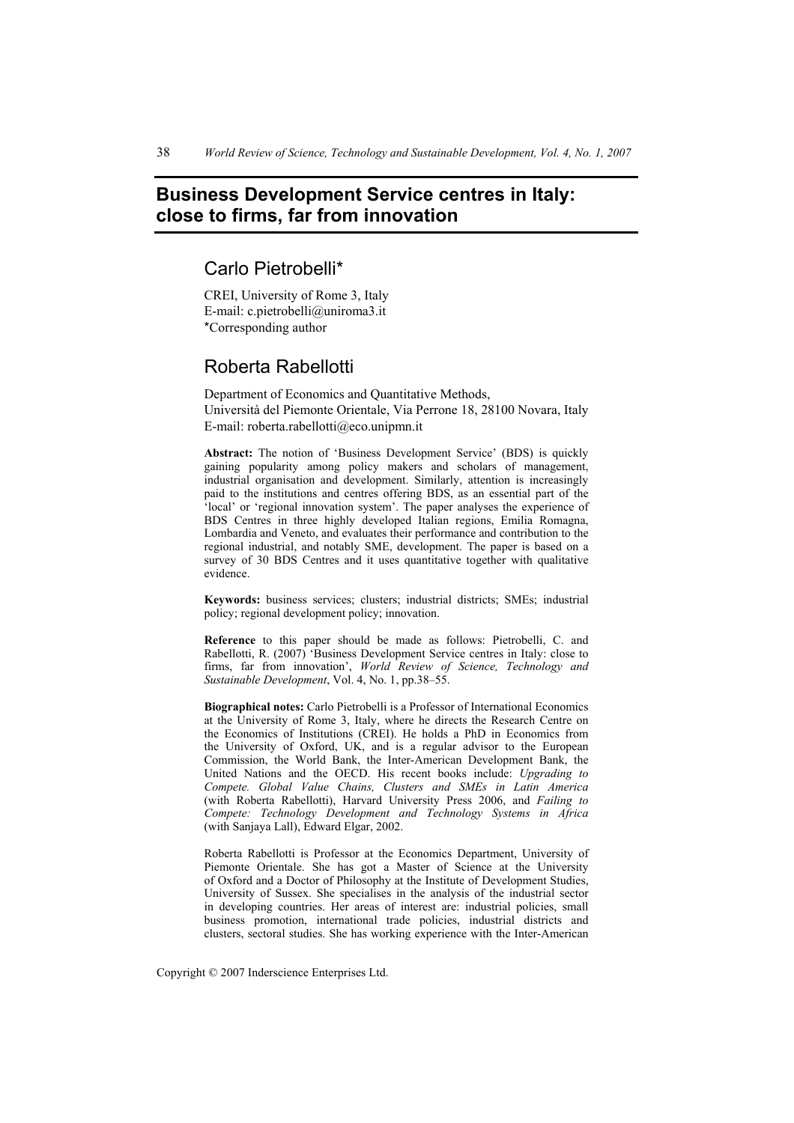# **Business Development Service centres in Italy: close to firms, far from innovation**

## Carlo Pietrobelli\*

CREI, University of Rome 3, Italy E-mail: c.pietrobelli@uniroma3.it \*Corresponding author

## Roberta Rabellotti

Department of Economics and Quantitative Methods, Università del Piemonte Orientale, Via Perrone 18, 28100 Novara, Italy E-mail: roberta.rabellotti@eco.unipmn.it

**Abstract:** The notion of 'Business Development Service' (BDS) is quickly gaining popularity among policy makers and scholars of management, industrial organisation and development. Similarly, attention is increasingly paid to the institutions and centres offering BDS, as an essential part of the 'local' or 'regional innovation system'. The paper analyses the experience of BDS Centres in three highly developed Italian regions, Emilia Romagna, Lombardia and Veneto, and evaluates their performance and contribution to the regional industrial, and notably SME, development. The paper is based on a survey of 30 BDS Centres and it uses quantitative together with qualitative evidence.

**Keywords:** business services; clusters; industrial districts; SMEs; industrial policy; regional development policy; innovation.

**Reference** to this paper should be made as follows: Pietrobelli, C. and Rabellotti, R. (2007) 'Business Development Service centres in Italy: close to firms, far from innovation', *World Review of Science, Technology and Sustainable Development*, Vol. 4, No. 1, pp.38–55.

**Biographical notes:** Carlo Pietrobelli is a Professor of International Economics at the University of Rome 3, Italy, where he directs the Research Centre on the Economics of Institutions (CREI). He holds a PhD in Economics from the University of Oxford, UK, and is a regular advisor to the European Commission, the World Bank, the Inter-American Development Bank, the United Nations and the OECD. His recent books include: *Upgrading to Compete. Global Value Chains, Clusters and SMEs in Latin America* (with Roberta Rabellotti), Harvard University Press 2006, and *Failing to Compete: Technology Development and Technology Systems in Africa* (with Sanjaya Lall), Edward Elgar, 2002.

Roberta Rabellotti is Professor at the Economics Department, University of Piemonte Orientale. She has got a Master of Science at the University of Oxford and a Doctor of Philosophy at the Institute of Development Studies, University of Sussex. She specialises in the analysis of the industrial sector in developing countries. Her areas of interest are: industrial policies, small business promotion, international trade policies, industrial districts and clusters, sectoral studies. She has working experience with the Inter-American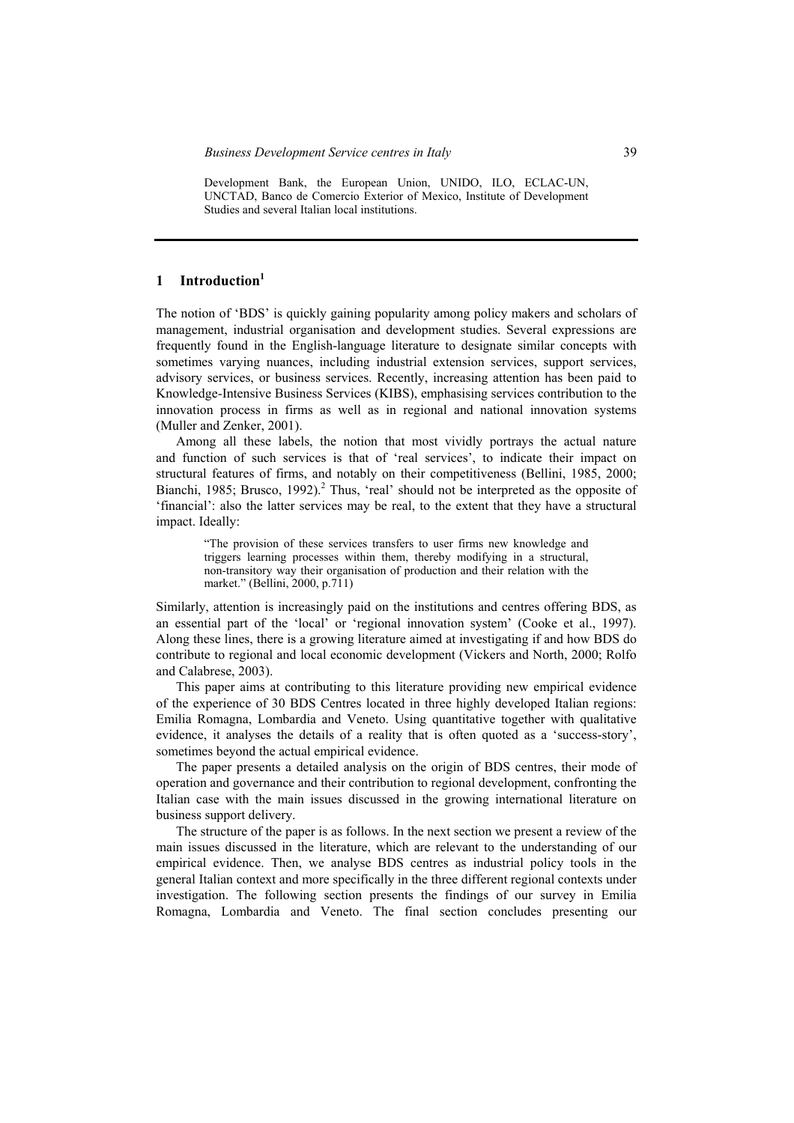Development Bank, the European Union, UNIDO, ILO, ECLAC-UN, UNCTAD, Banco de Comercio Exterior of Mexico, Institute of Development Studies and several Italian local institutions.

## 1 Introduction<sup>1</sup>

The notion of 'BDS' is quickly gaining popularity among policy makers and scholars of management, industrial organisation and development studies. Several expressions are frequently found in the English-language literature to designate similar concepts with sometimes varying nuances, including industrial extension services, support services, advisory services, or business services. Recently, increasing attention has been paid to Knowledge-Intensive Business Services (KIBS), emphasising services contribution to the innovation process in firms as well as in regional and national innovation systems (Muller and Zenker, 2001).

Among all these labels, the notion that most vividly portrays the actual nature and function of such services is that of 'real services', to indicate their impact on structural features of firms, and notably on their competitiveness (Bellini, 1985, 2000; Bianchi, 1985; Brusco, 1992).<sup>2</sup> Thus, 'real' should not be interpreted as the opposite of 'financial': also the latter services may be real, to the extent that they have a structural impact. Ideally:

> "The provision of these services transfers to user firms new knowledge and triggers learning processes within them, thereby modifying in a structural, non-transitory way their organisation of production and their relation with the market." (Bellini, 2000, p.711)

Similarly, attention is increasingly paid on the institutions and centres offering BDS, as an essential part of the 'local' or 'regional innovation system' (Cooke et al., 1997). Along these lines, there is a growing literature aimed at investigating if and how BDS do contribute to regional and local economic development (Vickers and North, 2000; Rolfo and Calabrese, 2003).

This paper aims at contributing to this literature providing new empirical evidence of the experience of 30 BDS Centres located in three highly developed Italian regions: Emilia Romagna, Lombardia and Veneto. Using quantitative together with qualitative evidence, it analyses the details of a reality that is often quoted as a 'success-story', sometimes beyond the actual empirical evidence.

The paper presents a detailed analysis on the origin of BDS centres, their mode of operation and governance and their contribution to regional development, confronting the Italian case with the main issues discussed in the growing international literature on business support delivery.

The structure of the paper is as follows. In the next section we present a review of the main issues discussed in the literature, which are relevant to the understanding of our empirical evidence. Then, we analyse BDS centres as industrial policy tools in the general Italian context and more specifically in the three different regional contexts under investigation. The following section presents the findings of our survey in Emilia Romagna, Lombardia and Veneto. The final section concludes presenting our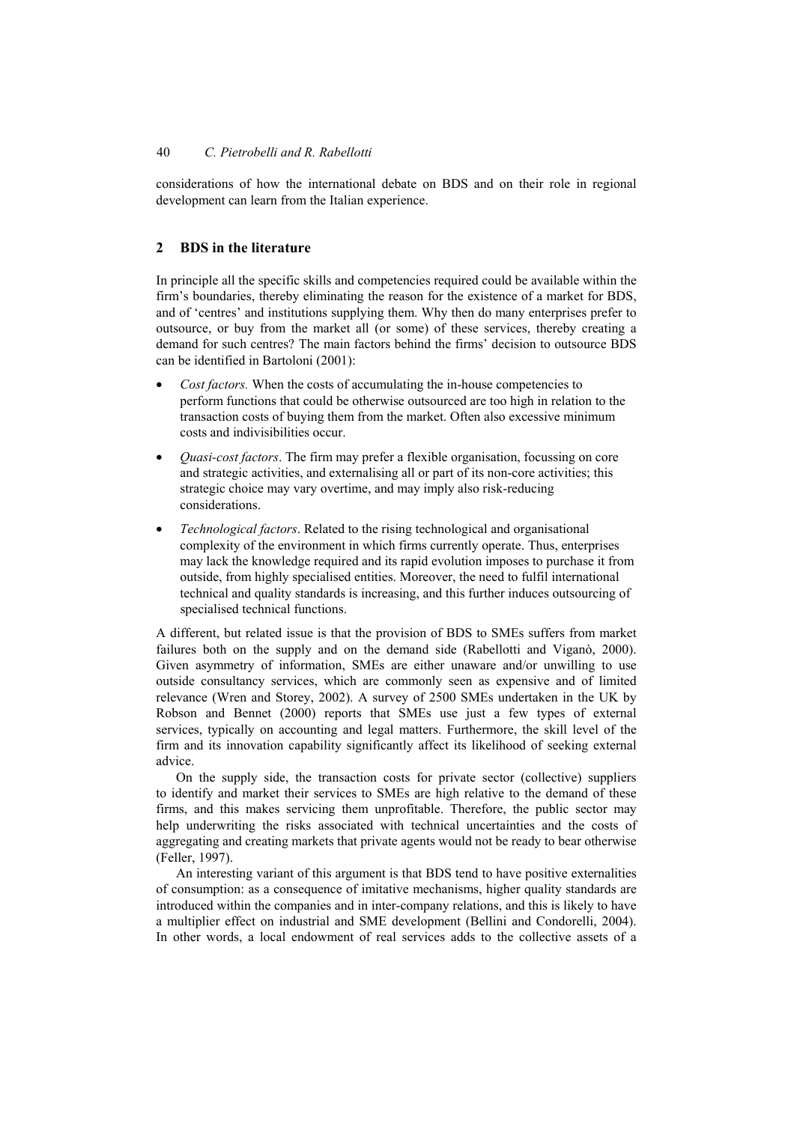considerations of how the international debate on BDS and on their role in regional development can learn from the Italian experience.

### **2 BDS in the literature**

In principle all the specific skills and competencies required could be available within the firm's boundaries, thereby eliminating the reason for the existence of a market for BDS, and of 'centres' and institutions supplying them. Why then do many enterprises prefer to outsource, or buy from the market all (or some) of these services, thereby creating a demand for such centres? The main factors behind the firms' decision to outsource BDS can be identified in Bartoloni (2001):

- *Cost factors.* When the costs of accumulating the in-house competencies to perform functions that could be otherwise outsourced are too high in relation to the transaction costs of buying them from the market. Often also excessive minimum costs and indivisibilities occur.
- *Quasi-cost factors*. The firm may prefer a flexible organisation, focussing on core and strategic activities, and externalising all or part of its non-core activities; this strategic choice may vary overtime, and may imply also risk-reducing considerations.
- *Technological factors*. Related to the rising technological and organisational complexity of the environment in which firms currently operate. Thus, enterprises may lack the knowledge required and its rapid evolution imposes to purchase it from outside, from highly specialised entities. Moreover, the need to fulfil international technical and quality standards is increasing, and this further induces outsourcing of specialised technical functions.

A different, but related issue is that the provision of BDS to SMEs suffers from market failures both on the supply and on the demand side (Rabellotti and Viganò, 2000). Given asymmetry of information, SMEs are either unaware and/or unwilling to use outside consultancy services, which are commonly seen as expensive and of limited relevance (Wren and Storey, 2002). A survey of 2500 SMEs undertaken in the UK by Robson and Bennet (2000) reports that SMEs use just a few types of external services, typically on accounting and legal matters. Furthermore, the skill level of the firm and its innovation capability significantly affect its likelihood of seeking external advice.

On the supply side, the transaction costs for private sector (collective) suppliers to identify and market their services to SMEs are high relative to the demand of these firms, and this makes servicing them unprofitable. Therefore, the public sector may help underwriting the risks associated with technical uncertainties and the costs of aggregating and creating markets that private agents would not be ready to bear otherwise (Feller, 1997).

An interesting variant of this argument is that BDS tend to have positive externalities of consumption: as a consequence of imitative mechanisms, higher quality standards are introduced within the companies and in inter-company relations, and this is likely to have a multiplier effect on industrial and SME development (Bellini and Condorelli, 2004). In other words, a local endowment of real services adds to the collective assets of a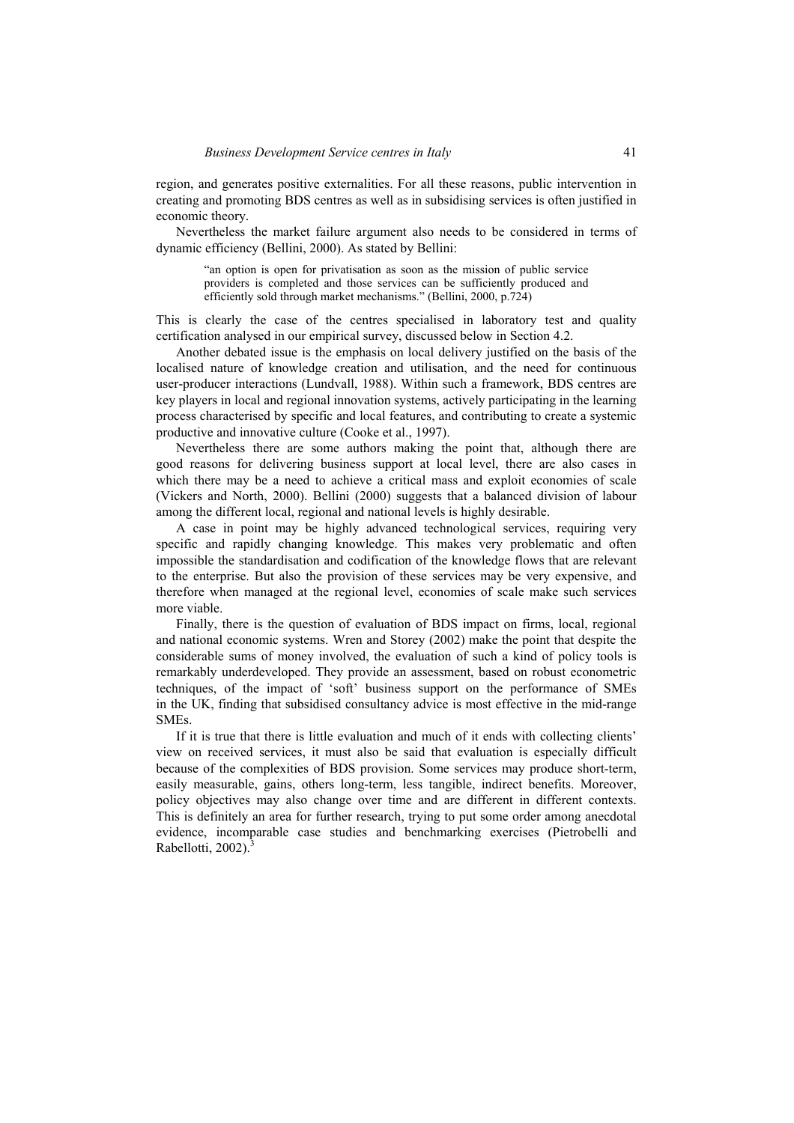region, and generates positive externalities. For all these reasons, public intervention in creating and promoting BDS centres as well as in subsidising services is often justified in economic theory.

Nevertheless the market failure argument also needs to be considered in terms of dynamic efficiency (Bellini, 2000). As stated by Bellini:

"an option is open for privatisation as soon as the mission of public service providers is completed and those services can be sufficiently produced and efficiently sold through market mechanisms." (Bellini, 2000, p.724)

This is clearly the case of the centres specialised in laboratory test and quality certification analysed in our empirical survey, discussed below in Section 4.2.

Another debated issue is the emphasis on local delivery justified on the basis of the localised nature of knowledge creation and utilisation, and the need for continuous user-producer interactions (Lundvall, 1988). Within such a framework, BDS centres are key players in local and regional innovation systems, actively participating in the learning process characterised by specific and local features, and contributing to create a systemic productive and innovative culture (Cooke et al., 1997).

Nevertheless there are some authors making the point that, although there are good reasons for delivering business support at local level, there are also cases in which there may be a need to achieve a critical mass and exploit economies of scale (Vickers and North, 2000). Bellini (2000) suggests that a balanced division of labour among the different local, regional and national levels is highly desirable.

A case in point may be highly advanced technological services, requiring very specific and rapidly changing knowledge. This makes very problematic and often impossible the standardisation and codification of the knowledge flows that are relevant to the enterprise. But also the provision of these services may be very expensive, and therefore when managed at the regional level, economies of scale make such services more viable.

Finally, there is the question of evaluation of BDS impact on firms, local, regional and national economic systems. Wren and Storey (2002) make the point that despite the considerable sums of money involved, the evaluation of such a kind of policy tools is remarkably underdeveloped. They provide an assessment, based on robust econometric techniques, of the impact of 'soft' business support on the performance of SMEs in the UK, finding that subsidised consultancy advice is most effective in the mid-range SMEs.

If it is true that there is little evaluation and much of it ends with collecting clients' view on received services, it must also be said that evaluation is especially difficult because of the complexities of BDS provision. Some services may produce short-term, easily measurable, gains, others long-term, less tangible, indirect benefits. Moreover, policy objectives may also change over time and are different in different contexts. This is definitely an area for further research, trying to put some order among anecdotal evidence, incomparable case studies and benchmarking exercises (Pietrobelli and Rabellotti, 2002). $3$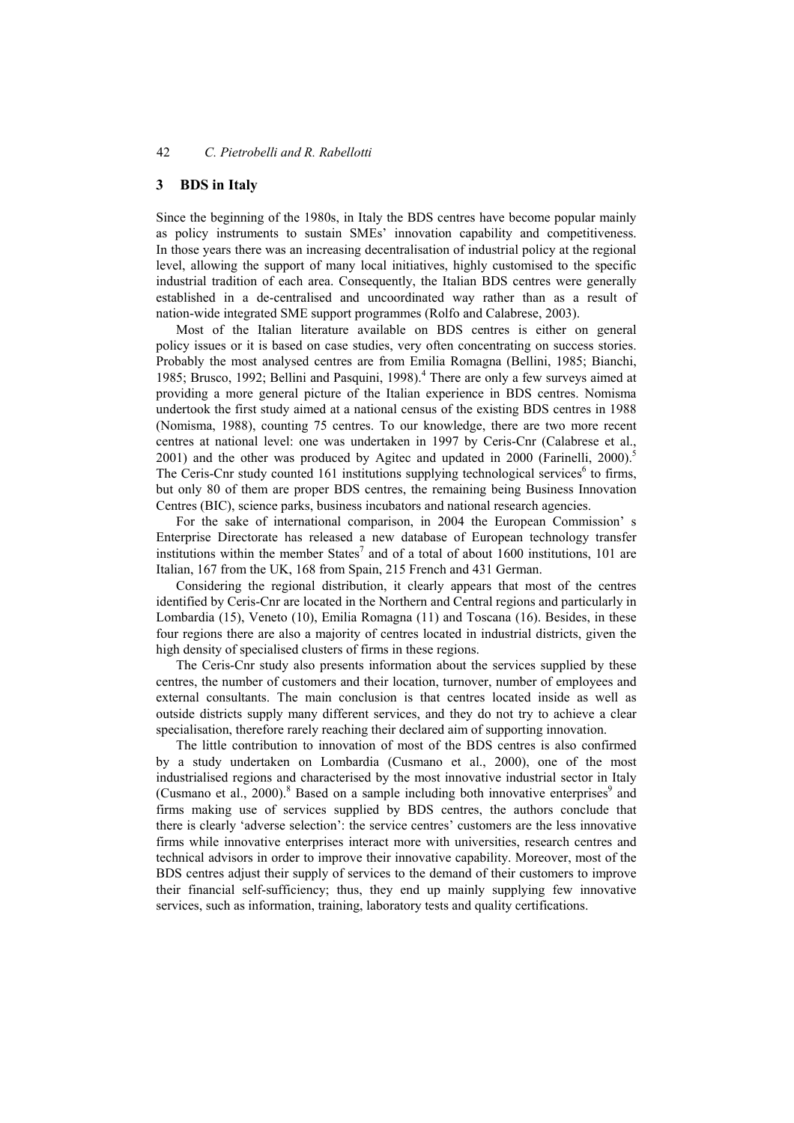#### **3 BDS in Italy**

Since the beginning of the 1980s, in Italy the BDS centres have become popular mainly as policy instruments to sustain SMEs' innovation capability and competitiveness. In those years there was an increasing decentralisation of industrial policy at the regional level, allowing the support of many local initiatives, highly customised to the specific industrial tradition of each area. Consequently, the Italian BDS centres were generally established in a de-centralised and uncoordinated way rather than as a result of nation-wide integrated SME support programmes (Rolfo and Calabrese, 2003).

Most of the Italian literature available on BDS centres is either on general policy issues or it is based on case studies, very often concentrating on success stories. Probably the most analysed centres are from Emilia Romagna (Bellini, 1985; Bianchi, 1985; Brusco, 1992; Bellini and Pasquini, 1998).<sup>4</sup> There are only a few surveys aimed at providing a more general picture of the Italian experience in BDS centres. Nomisma undertook the first study aimed at a national census of the existing BDS centres in 1988 (Nomisma, 1988), counting 75 centres. To our knowledge, there are two more recent centres at national level: one was undertaken in 1997 by Ceris-Cnr (Calabrese et al., 2001) and the other was produced by Agitec and updated in 2000 (Farinelli, 2000). $\frac{5}{3}$ The Ceris-Cnr study counted 161 institutions supplying technological services $6$  to firms, but only 80 of them are proper BDS centres, the remaining being Business Innovation Centres (BIC), science parks, business incubators and national research agencies.

For the sake of international comparison, in 2004 the European Commission' s Enterprise Directorate has released a new database of European technology transfer institutions within the member States<sup>7</sup> and of a total of about 1600 institutions, 101 are Italian, 167 from the UK, 168 from Spain, 215 French and 431 German.

Considering the regional distribution, it clearly appears that most of the centres identified by Ceris-Cnr are located in the Northern and Central regions and particularly in Lombardia (15), Veneto (10), Emilia Romagna (11) and Toscana (16). Besides, in these four regions there are also a majority of centres located in industrial districts, given the high density of specialised clusters of firms in these regions.

The Ceris-Cnr study also presents information about the services supplied by these centres, the number of customers and their location, turnover, number of employees and external consultants. The main conclusion is that centres located inside as well as outside districts supply many different services, and they do not try to achieve a clear specialisation, therefore rarely reaching their declared aim of supporting innovation.

The little contribution to innovation of most of the BDS centres is also confirmed by a study undertaken on Lombardia (Cusmano et al., 2000), one of the most industrialised regions and characterised by the most innovative industrial sector in Italy (Cusmano et al.,  $2000$ ).<sup>8</sup> Based on a sample including both innovative enterprises<sup>9</sup> and firms making use of services supplied by BDS centres, the authors conclude that there is clearly 'adverse selection': the service centres' customers are the less innovative firms while innovative enterprises interact more with universities, research centres and technical advisors in order to improve their innovative capability. Moreover, most of the BDS centres adjust their supply of services to the demand of their customers to improve their financial self-sufficiency; thus, they end up mainly supplying few innovative services, such as information, training, laboratory tests and quality certifications.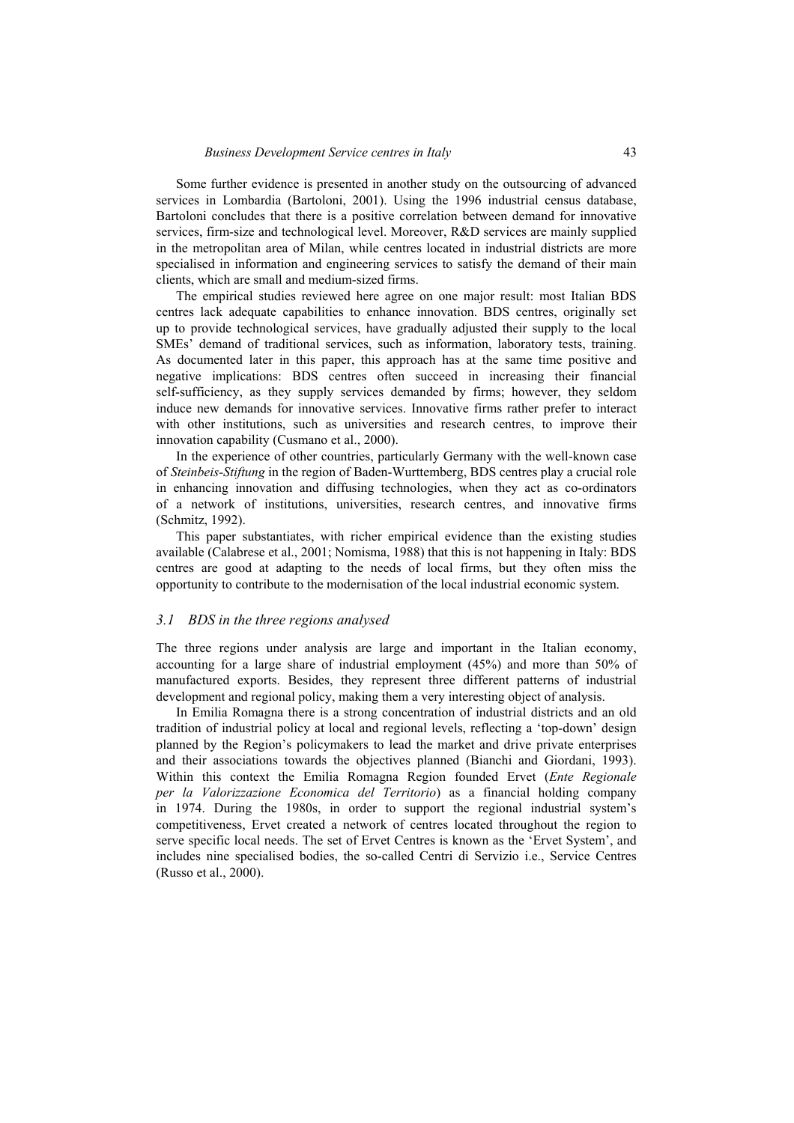Some further evidence is presented in another study on the outsourcing of advanced services in Lombardia (Bartoloni, 2001). Using the 1996 industrial census database, Bartoloni concludes that there is a positive correlation between demand for innovative services, firm-size and technological level. Moreover, R&D services are mainly supplied in the metropolitan area of Milan, while centres located in industrial districts are more specialised in information and engineering services to satisfy the demand of their main clients, which are small and medium-sized firms.

The empirical studies reviewed here agree on one major result: most Italian BDS centres lack adequate capabilities to enhance innovation. BDS centres, originally set up to provide technological services, have gradually adjusted their supply to the local SMEs' demand of traditional services, such as information, laboratory tests, training. As documented later in this paper, this approach has at the same time positive and negative implications: BDS centres often succeed in increasing their financial self-sufficiency, as they supply services demanded by firms; however, they seldom induce new demands for innovative services. Innovative firms rather prefer to interact with other institutions, such as universities and research centres, to improve their innovation capability (Cusmano et al., 2000).

In the experience of other countries, particularly Germany with the well-known case of *Steinbeis-Stiftung* in the region of Baden-Wurttemberg, BDS centres play a crucial role in enhancing innovation and diffusing technologies, when they act as co-ordinators of a network of institutions, universities, research centres, and innovative firms (Schmitz, 1992).

This paper substantiates, with richer empirical evidence than the existing studies available (Calabrese et al., 2001; Nomisma, 1988) that this is not happening in Italy: BDS centres are good at adapting to the needs of local firms, but they often miss the opportunity to contribute to the modernisation of the local industrial economic system.

#### *3.1 BDS in the three regions analysed*

The three regions under analysis are large and important in the Italian economy, accounting for a large share of industrial employment (45%) and more than 50% of manufactured exports. Besides, they represent three different patterns of industrial development and regional policy, making them a very interesting object of analysis.

In Emilia Romagna there is a strong concentration of industrial districts and an old tradition of industrial policy at local and regional levels, reflecting a 'top-down' design planned by the Region's policymakers to lead the market and drive private enterprises and their associations towards the objectives planned (Bianchi and Giordani, 1993). Within this context the Emilia Romagna Region founded Ervet (*Ente Regionale per la Valorizzazione Economica del Territorio*) as a financial holding company in 1974. During the 1980s, in order to support the regional industrial system's competitiveness, Ervet created a network of centres located throughout the region to serve specific local needs. The set of Ervet Centres is known as the 'Ervet System', and includes nine specialised bodies, the so-called Centri di Servizio i.e., Service Centres (Russo et al., 2000).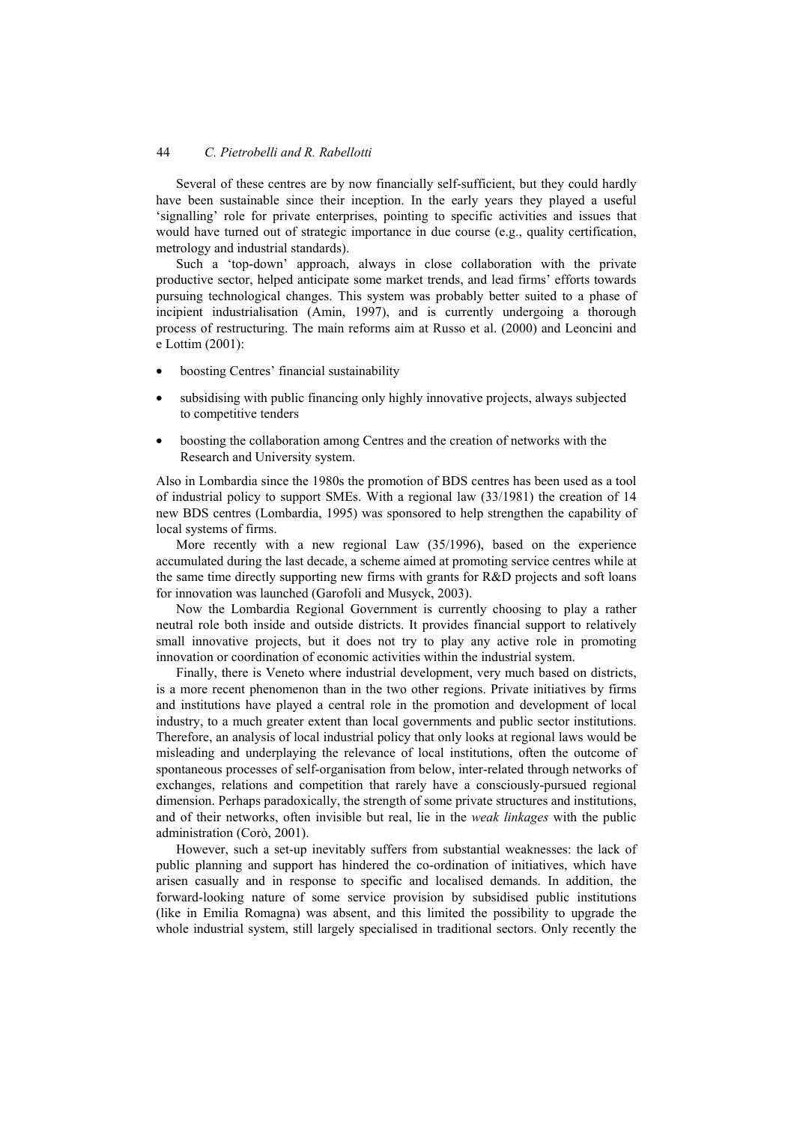Several of these centres are by now financially self-sufficient, but they could hardly have been sustainable since their inception. In the early years they played a useful 'signalling' role for private enterprises, pointing to specific activities and issues that would have turned out of strategic importance in due course (e.g., quality certification, metrology and industrial standards).

Such a 'top-down' approach, always in close collaboration with the private productive sector, helped anticipate some market trends, and lead firms' efforts towards pursuing technological changes. This system was probably better suited to a phase of incipient industrialisation (Amin, 1997), and is currently undergoing a thorough process of restructuring. The main reforms aim at Russo et al. (2000) and Leoncini and e Lottim (2001):

- boosting Centres' financial sustainability
- subsidising with public financing only highly innovative projects, always subjected to competitive tenders
- boosting the collaboration among Centres and the creation of networks with the Research and University system.

Also in Lombardia since the 1980s the promotion of BDS centres has been used as a tool of industrial policy to support SMEs. With a regional law (33/1981) the creation of 14 new BDS centres (Lombardia, 1995) was sponsored to help strengthen the capability of local systems of firms.

More recently with a new regional Law (35/1996), based on the experience accumulated during the last decade, a scheme aimed at promoting service centres while at the same time directly supporting new firms with grants for R&D projects and soft loans for innovation was launched (Garofoli and Musyck, 2003).

Now the Lombardia Regional Government is currently choosing to play a rather neutral role both inside and outside districts. It provides financial support to relatively small innovative projects, but it does not try to play any active role in promoting innovation or coordination of economic activities within the industrial system.

Finally, there is Veneto where industrial development, very much based on districts, is a more recent phenomenon than in the two other regions. Private initiatives by firms and institutions have played a central role in the promotion and development of local industry, to a much greater extent than local governments and public sector institutions. Therefore, an analysis of local industrial policy that only looks at regional laws would be misleading and underplaying the relevance of local institutions, often the outcome of spontaneous processes of self-organisation from below, inter-related through networks of exchanges, relations and competition that rarely have a consciously-pursued regional dimension. Perhaps paradoxically, the strength of some private structures and institutions, and of their networks, often invisible but real, lie in the *weak linkages* with the public administration (Corò, 2001).

However, such a set-up inevitably suffers from substantial weaknesses: the lack of public planning and support has hindered the co-ordination of initiatives, which have arisen casually and in response to specific and localised demands. In addition, the forward-looking nature of some service provision by subsidised public institutions (like in Emilia Romagna) was absent, and this limited the possibility to upgrade the whole industrial system, still largely specialised in traditional sectors. Only recently the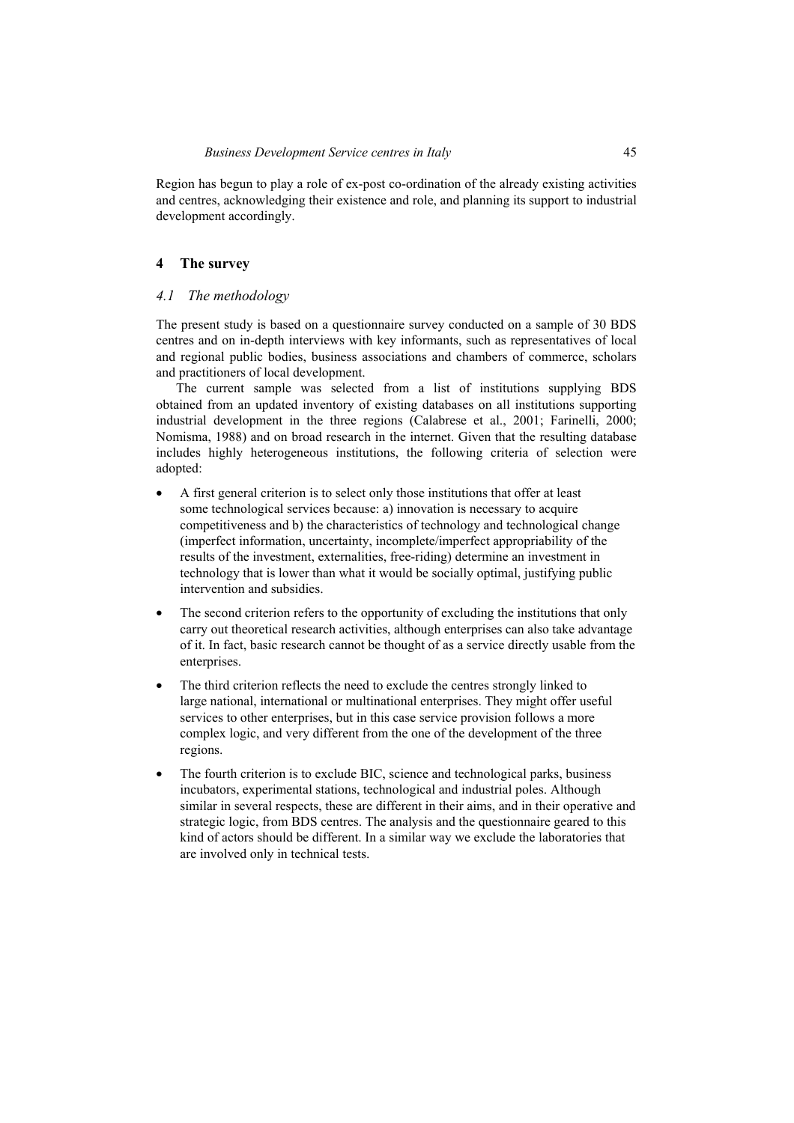Region has begun to play a role of ex-post co-ordination of the already existing activities and centres, acknowledging their existence and role, and planning its support to industrial development accordingly.

### **4 The survey**

### *4.1 The methodology*

The present study is based on a questionnaire survey conducted on a sample of 30 BDS centres and on in-depth interviews with key informants, such as representatives of local and regional public bodies, business associations and chambers of commerce, scholars and practitioners of local development.

The current sample was selected from a list of institutions supplying BDS obtained from an updated inventory of existing databases on all institutions supporting industrial development in the three regions (Calabrese et al., 2001; Farinelli, 2000; Nomisma, 1988) and on broad research in the internet. Given that the resulting database includes highly heterogeneous institutions, the following criteria of selection were adopted:

- A first general criterion is to select only those institutions that offer at least some technological services because: a) innovation is necessary to acquire competitiveness and b) the characteristics of technology and technological change (imperfect information, uncertainty, incomplete/imperfect appropriability of the results of the investment, externalities, free-riding) determine an investment in technology that is lower than what it would be socially optimal, justifying public intervention and subsidies.
- The second criterion refers to the opportunity of excluding the institutions that only carry out theoretical research activities, although enterprises can also take advantage of it. In fact, basic research cannot be thought of as a service directly usable from the enterprises.
- The third criterion reflects the need to exclude the centres strongly linked to large national, international or multinational enterprises. They might offer useful services to other enterprises, but in this case service provision follows a more complex logic, and very different from the one of the development of the three regions.
- The fourth criterion is to exclude BIC, science and technological parks, business incubators, experimental stations, technological and industrial poles. Although similar in several respects, these are different in their aims, and in their operative and strategic logic, from BDS centres. The analysis and the questionnaire geared to this kind of actors should be different. In a similar way we exclude the laboratories that are involved only in technical tests.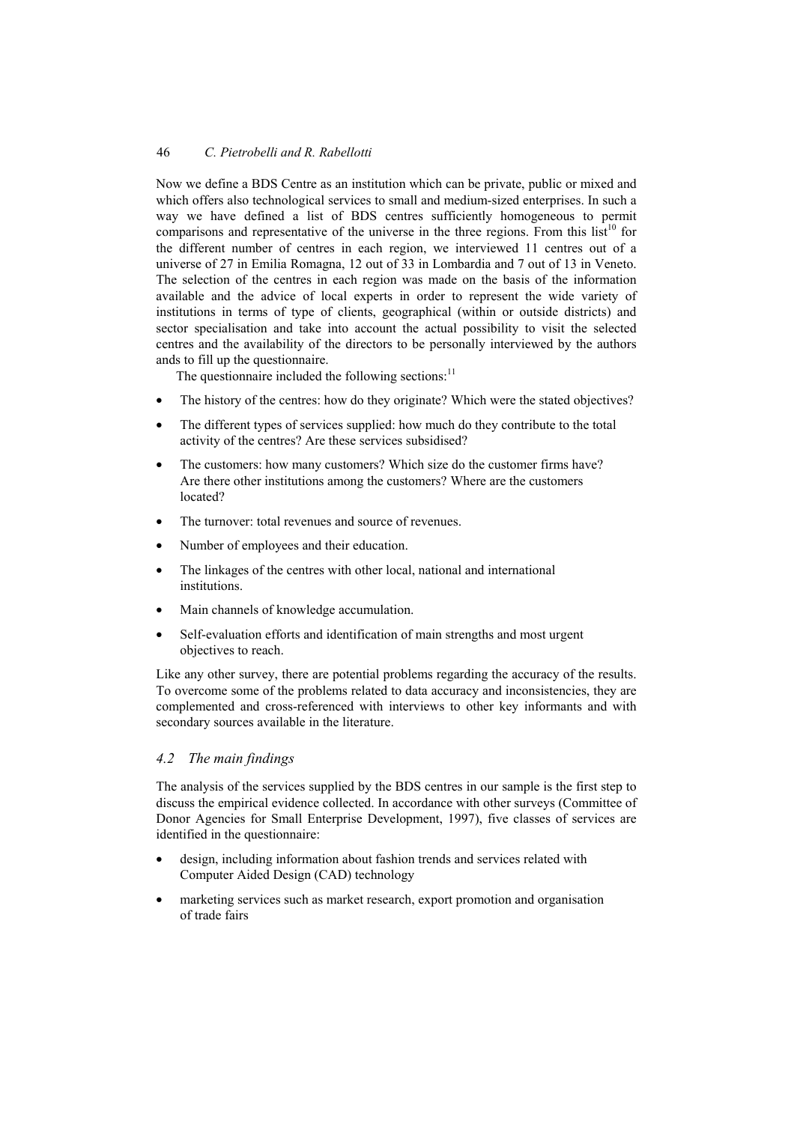Now we define a BDS Centre as an institution which can be private, public or mixed and which offers also technological services to small and medium-sized enterprises. In such a way we have defined a list of BDS centres sufficiently homogeneous to permit comparisons and representative of the universe in the three regions. From this  $list^{10}$  for the different number of centres in each region, we interviewed 11 centres out of a universe of 27 in Emilia Romagna, 12 out of 33 in Lombardia and 7 out of 13 in Veneto. The selection of the centres in each region was made on the basis of the information available and the advice of local experts in order to represent the wide variety of institutions in terms of type of clients, geographical (within or outside districts) and sector specialisation and take into account the actual possibility to visit the selected centres and the availability of the directors to be personally interviewed by the authors ands to fill up the questionnaire.

The questionnaire included the following sections: $11$ 

- The history of the centres: how do they originate? Which were the stated objectives?
- The different types of services supplied: how much do they contribute to the total activity of the centres? Are these services subsidised?
- The customers: how many customers? Which size do the customer firms have? Are there other institutions among the customers? Where are the customers located?
- The turnover: total revenues and source of revenues.
- Number of employees and their education.
- The linkages of the centres with other local, national and international institutions.
- Main channels of knowledge accumulation.
- Self-evaluation efforts and identification of main strengths and most urgent objectives to reach.

Like any other survey, there are potential problems regarding the accuracy of the results. To overcome some of the problems related to data accuracy and inconsistencies, they are complemented and cross-referenced with interviews to other key informants and with secondary sources available in the literature.

#### *4.2 The main findings*

The analysis of the services supplied by the BDS centres in our sample is the first step to discuss the empirical evidence collected. In accordance with other surveys (Committee of Donor Agencies for Small Enterprise Development, 1997), five classes of services are identified in the questionnaire:

- design, including information about fashion trends and services related with Computer Aided Design (CAD) technology
- marketing services such as market research, export promotion and organisation of trade fairs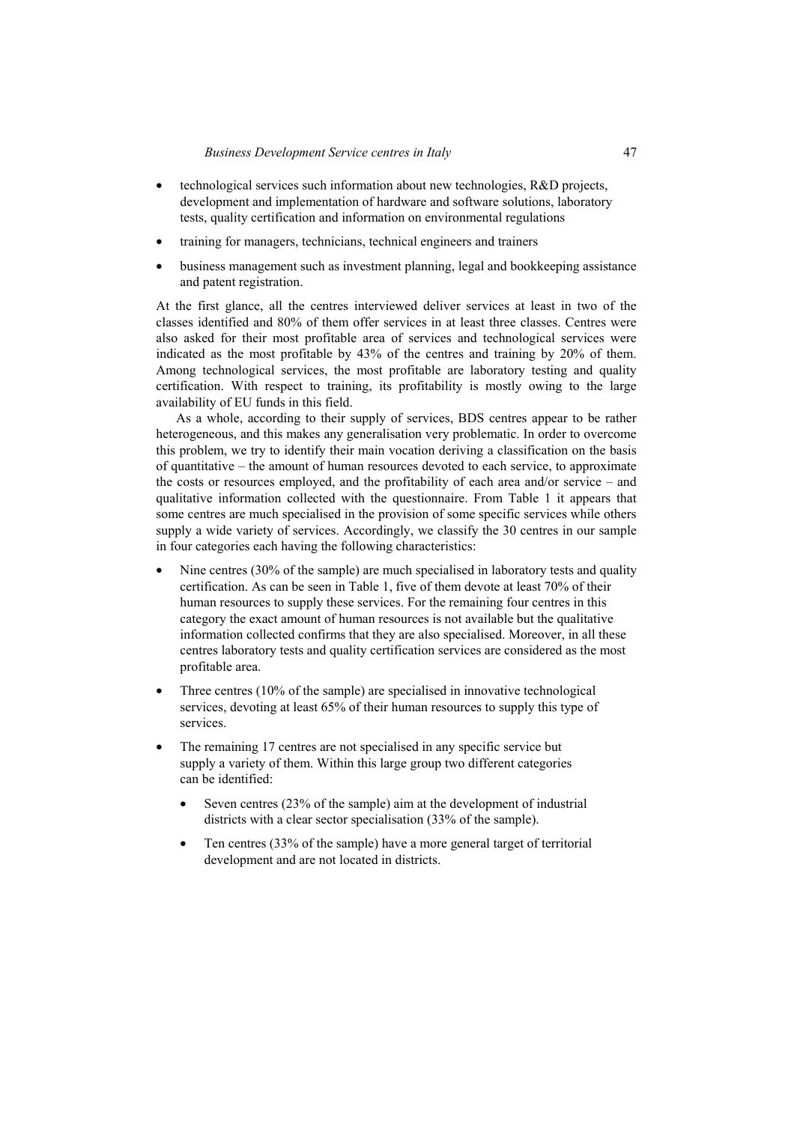- technological services such information about new technologies, R&D projects, development and implementation of hardware and software solutions, laboratory tests, quality certification and information on environmental regulations
- training for managers, technicians, technical engineers and trainers
- business management such as investment planning, legal and bookkeeping assistance and patent registration.

At the first glance, all the centres interviewed deliver services at least in two of the classes identified and 80% of them offer services in at least three classes. Centres were also asked for their most profitable area of services and technological services were indicated as the most profitable by 43% of the centres and training by 20% of them. Among technological services, the most profitable are laboratory testing and quality certification. With respect to training, its profitability is mostly owing to the large availability of EU funds in this field.

As a whole, according to their supply of services, BDS centres appear to be rather heterogeneous, and this makes any generalisation very problematic. In order to overcome this problem, we try to identify their main vocation deriving a classification on the basis of quantitative – the amount of human resources devoted to each service, to approximate the costs or resources employed, and the profitability of each area and/or service – and qualitative information collected with the questionnaire. From Table 1 it appears that some centres are much specialised in the provision of some specific services while others supply a wide variety of services. Accordingly, we classify the 30 centres in our sample in four categories each having the following characteristics:

- Nine centres (30% of the sample) are much specialised in laboratory tests and quality certification. As can be seen in Table 1, five of them devote at least 70% of their human resources to supply these services. For the remaining four centres in this category the exact amount of human resources is not available but the qualitative information collected confirms that they are also specialised. Moreover, in all these centres laboratory tests and quality certification services are considered as the most profitable area.
- Three centres (10% of the sample) are specialised in innovative technological services, devoting at least 65% of their human resources to supply this type of services.
- The remaining 17 centres are not specialised in any specific service but supply a variety of them. Within this large group two different categories can be identified:
	- Seven centres (23% of the sample) aim at the development of industrial districts with a clear sector specialisation (33% of the sample).
	- Ten centres (33% of the sample) have a more general target of territorial development and are not located in districts.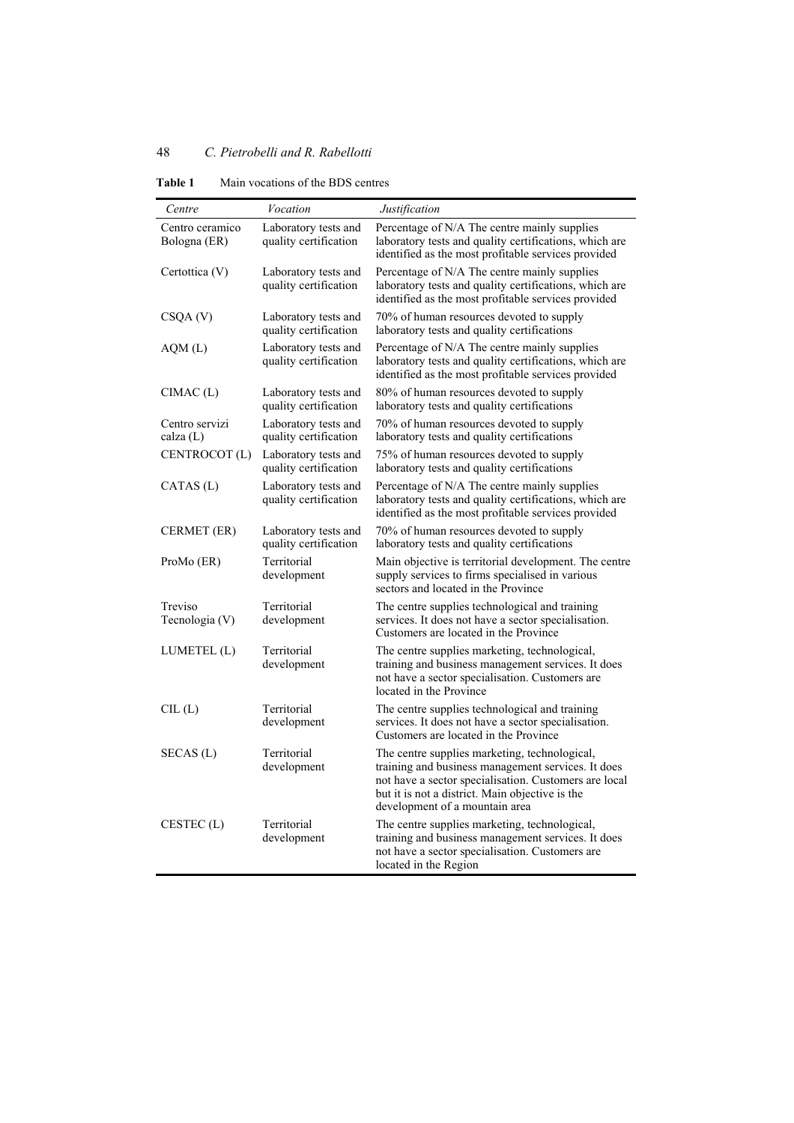### **Table 1** Main vocations of the BDS centres

| Centre                              | <b>V</b> ocation                              | Justification                                                                                                                                                                                                                                     |
|-------------------------------------|-----------------------------------------------|---------------------------------------------------------------------------------------------------------------------------------------------------------------------------------------------------------------------------------------------------|
| Centro ceramico<br>Bologna (ER)     | Laboratory tests and<br>quality certification | Percentage of N/A The centre mainly supplies<br>laboratory tests and quality certifications, which are<br>identified as the most profitable services provided                                                                                     |
| Certottica (V)                      | Laboratory tests and<br>quality certification | Percentage of N/A The centre mainly supplies<br>laboratory tests and quality certifications, which are<br>identified as the most profitable services provided                                                                                     |
| CSQA(V)                             | Laboratory tests and<br>quality certification | 70% of human resources devoted to supply<br>laboratory tests and quality certifications                                                                                                                                                           |
| AQM(L)                              | Laboratory tests and<br>quality certification | Percentage of N/A The centre mainly supplies<br>laboratory tests and quality certifications, which are<br>identified as the most profitable services provided                                                                                     |
| CIMAC(L)                            | Laboratory tests and<br>quality certification | 80% of human resources devoted to supply<br>laboratory tests and quality certifications                                                                                                                                                           |
| Centro servizi<br>$calz$ alza $(L)$ | Laboratory tests and<br>quality certification | 70% of human resources devoted to supply<br>laboratory tests and quality certifications                                                                                                                                                           |
| CENTROCOT (L)                       | Laboratory tests and<br>quality certification | 75% of human resources devoted to supply<br>laboratory tests and quality certifications                                                                                                                                                           |
| CATAS (L)                           | Laboratory tests and<br>quality certification | Percentage of N/A The centre mainly supplies<br>laboratory tests and quality certifications, which are<br>identified as the most profitable services provided                                                                                     |
| <b>CERMET</b> (ER)                  | Laboratory tests and<br>quality certification | 70% of human resources devoted to supply<br>laboratory tests and quality certifications                                                                                                                                                           |
| ProMo (ER)                          | Territorial<br>development                    | Main objective is territorial development. The centre<br>supply services to firms specialised in various<br>sectors and located in the Province                                                                                                   |
| Treviso<br>Tecnologia (V)           | Territorial<br>development                    | The centre supplies technological and training<br>services. It does not have a sector specialisation.<br>Customers are located in the Province                                                                                                    |
| LUMETEL (L)                         | Territorial<br>development                    | The centre supplies marketing, technological,<br>training and business management services. It does<br>not have a sector specialisation. Customers are<br>located in the Province                                                                 |
| CL(L)                               | Territorial<br>development                    | The centre supplies technological and training<br>services. It does not have a sector specialisation.<br>Customers are located in the Province                                                                                                    |
| SECAS (L)                           | Territorial<br>development                    | The centre supplies marketing, technological,<br>training and business management services. It does<br>not have a sector specialisation. Customers are local<br>but it is not a district. Main objective is the<br>development of a mountain area |
| CESTEC (L)                          | Territorial<br>development                    | The centre supplies marketing, technological,<br>training and business management services. It does<br>not have a sector specialisation. Customers are<br>located in the Region                                                                   |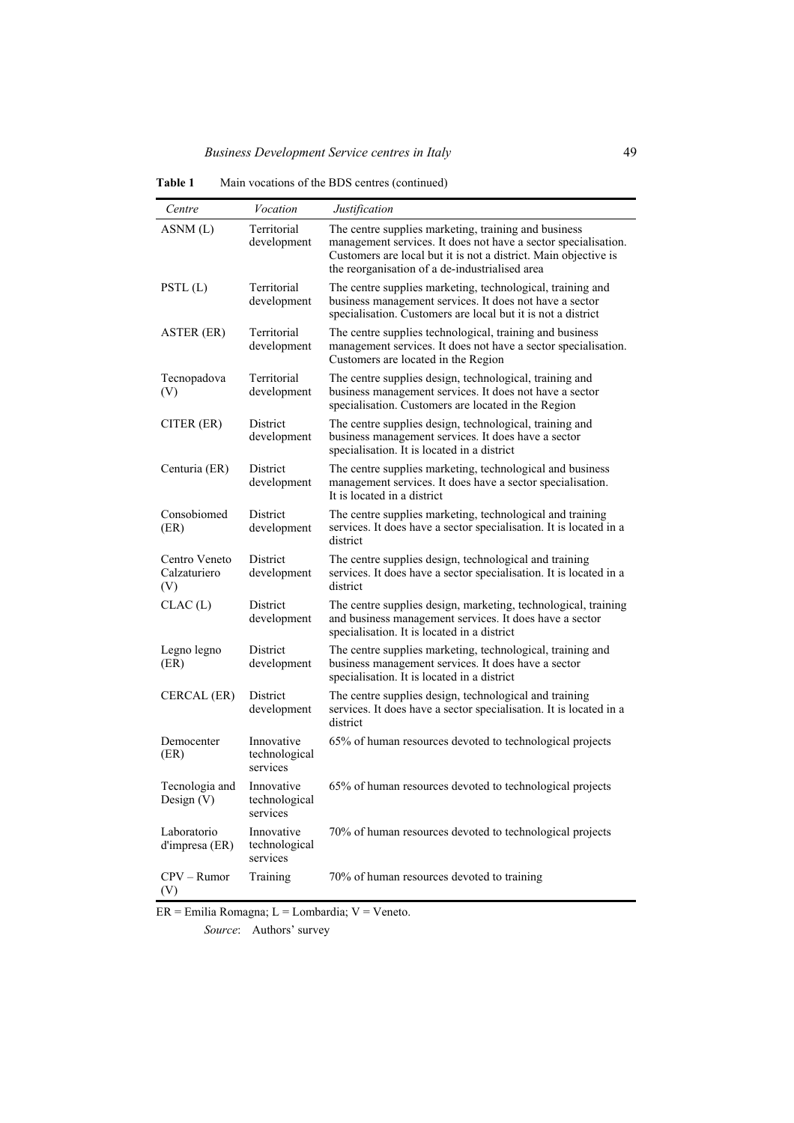## *Business Development Service centres in Italy* 49

**Table 1** Main vocations of the BDS centres (continued)

| Centre                               | Vocation                                | Justification                                                                                                                                                                                                                               |  |
|--------------------------------------|-----------------------------------------|---------------------------------------------------------------------------------------------------------------------------------------------------------------------------------------------------------------------------------------------|--|
| ASNM(L)                              | Territorial<br>development              | The centre supplies marketing, training and business<br>management services. It does not have a sector specialisation.<br>Customers are local but it is not a district. Main objective is<br>the reorganisation of a de-industrialised area |  |
| PSTL(L)                              | Territorial<br>development              | The centre supplies marketing, technological, training and<br>business management services. It does not have a sector<br>specialisation. Customers are local but it is not a district                                                       |  |
| ASTER (ER)                           | Territorial<br>development              | The centre supplies technological, training and business<br>management services. It does not have a sector specialisation.<br>Customers are located in the Region                                                                           |  |
| Tecnopadova<br>(V)                   | Territorial<br>development              | The centre supplies design, technological, training and<br>business management services. It does not have a sector<br>specialisation. Customers are located in the Region                                                                   |  |
| CITER (ER)                           | District<br>development                 | The centre supplies design, technological, training and<br>business management services. It does have a sector<br>specialisation. It is located in a district                                                                               |  |
| Centuria (ER)                        | District<br>development                 | The centre supplies marketing, technological and business<br>management services. It does have a sector specialisation.<br>It is located in a district                                                                                      |  |
| Consobiomed<br>(ER)                  | District<br>development                 | The centre supplies marketing, technological and training<br>services. It does have a sector specialisation. It is located in a<br>district                                                                                                 |  |
| Centro Veneto<br>Calzaturiero<br>(V) | District<br>development                 | The centre supplies design, technological and training<br>services. It does have a sector specialisation. It is located in a<br>district                                                                                                    |  |
| CLAC(L)                              | District<br>development                 | The centre supplies design, marketing, technological, training<br>and business management services. It does have a sector<br>specialisation. It is located in a district                                                                    |  |
| Legno legno<br>(ER)                  | District<br>development                 | The centre supplies marketing, technological, training and<br>business management services. It does have a sector<br>specialisation. It is located in a district                                                                            |  |
| CERCAL (ER)                          | District<br>development                 | The centre supplies design, technological and training<br>services. It does have a sector specialisation. It is located in a<br>district                                                                                                    |  |
| Democenter<br>(ER)                   | Innovative<br>technological<br>services | 65% of human resources devoted to technological projects                                                                                                                                                                                    |  |
| Tecnologia and<br>Design $(V)$       | Innovative<br>technological<br>services | 65% of human resources devoted to technological projects                                                                                                                                                                                    |  |
| Laboratorio<br>d'impresa (ER)        | Innovative<br>technological<br>services | 70% of human resources devoted to technological projects                                                                                                                                                                                    |  |
| $CPV - Rumor$<br>(V)                 | Training                                | 70% of human resources devoted to training                                                                                                                                                                                                  |  |

 $ER =$  Emilia Romagna;  $L =$  Lombardia;  $V =$  Veneto.

*Source*: Authors' survey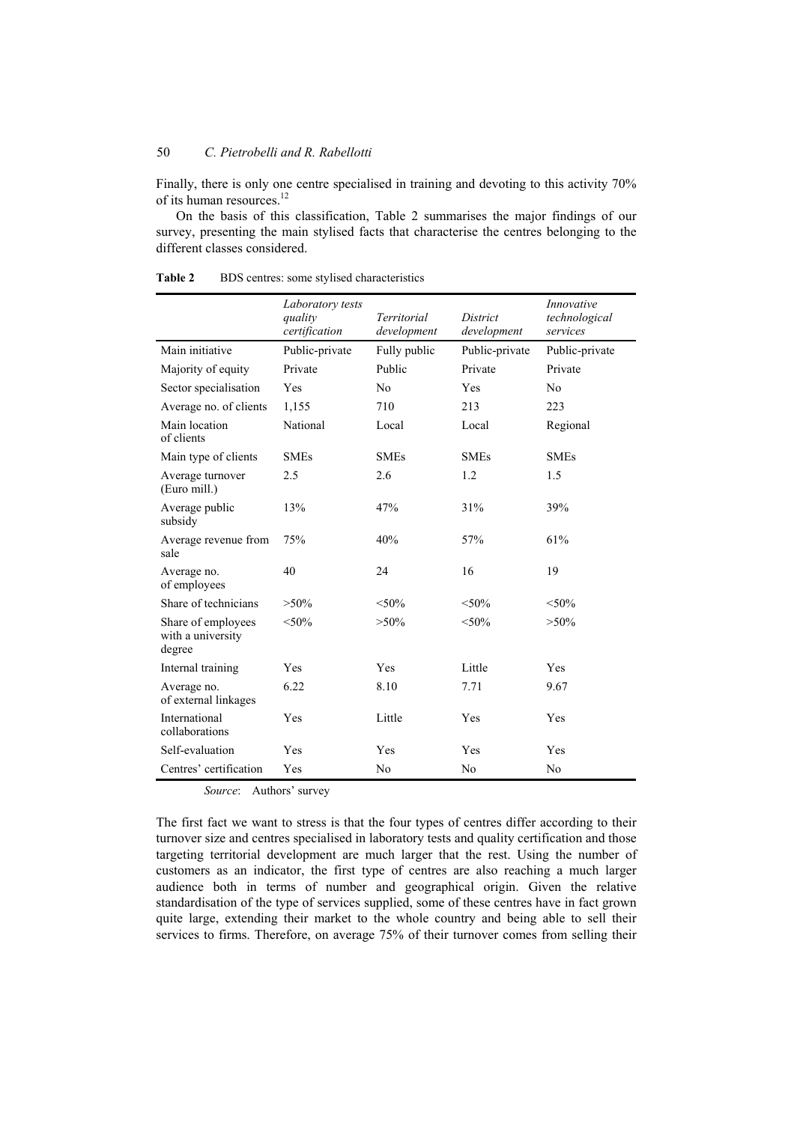Finally, there is only one centre specialised in training and devoting to this activity 70% of its human resources.<sup>12</sup>

On the basis of this classification, Table 2 summarises the major findings of our survey, presenting the main stylised facts that characterise the centres belonging to the different classes considered.

|                                                   | Laboratory tests<br>quality<br>certification | <b>Territorial</b><br>development | <i>District</i><br>development | Innovative<br>technological<br>services |
|---------------------------------------------------|----------------------------------------------|-----------------------------------|--------------------------------|-----------------------------------------|
| Main initiative                                   | Public-private                               | Fully public                      | Public-private                 | Public-private                          |
| Majority of equity                                | Private                                      | Public                            | Private                        | Private                                 |
| Sector specialisation                             | Yes                                          | N <sub>0</sub>                    | Yes                            | No                                      |
| Average no. of clients                            | 1,155                                        | 710                               | 213                            | 223                                     |
| Main location<br>of clients                       | National                                     | Local                             | Local                          | Regional                                |
| Main type of clients                              | <b>SMEs</b>                                  | <b>SMEs</b>                       | <b>SMEs</b>                    | <b>SMEs</b>                             |
| Average turnover<br>(Euro mill.)                  | 2.5                                          | 2.6                               | 1.2                            | 1.5                                     |
| Average public<br>subsidy                         | 13%                                          | 47%                               | 31%                            | 39%                                     |
| Average revenue from<br>sale                      | 75%                                          | 40%                               | 57%                            | 61%                                     |
| Average no.<br>of employees                       | 40                                           | 24                                | 16                             | 19                                      |
| Share of technicians                              | $>50\%$                                      | $<$ 50%                           | $< 50\%$                       | $< 50\%$                                |
| Share of employees<br>with a university<br>degree | $<$ 50%                                      | $>50\%$                           | $<$ 50%                        | $> 50\%$                                |
| Internal training                                 | Yes                                          | Yes                               | Little                         | Yes                                     |
| Average no.<br>of external linkages               | 6.22                                         | 8.10                              | 7.71                           | 9.67                                    |
| International<br>collaborations                   | Yes                                          | Little                            | Yes                            | Yes                                     |
| Self-evaluation                                   | Yes                                          | Yes                               | Yes                            | Yes                                     |
| Centres' certification                            | Yes                                          | N <sub>0</sub>                    | N <sub>0</sub>                 | N <sub>0</sub>                          |

Table 2 BDS centres: some stylised characteristics

*Source*: Authors' survey

The first fact we want to stress is that the four types of centres differ according to their turnover size and centres specialised in laboratory tests and quality certification and those targeting territorial development are much larger that the rest. Using the number of customers as an indicator, the first type of centres are also reaching a much larger audience both in terms of number and geographical origin. Given the relative standardisation of the type of services supplied, some of these centres have in fact grown quite large, extending their market to the whole country and being able to sell their services to firms. Therefore, on average 75% of their turnover comes from selling their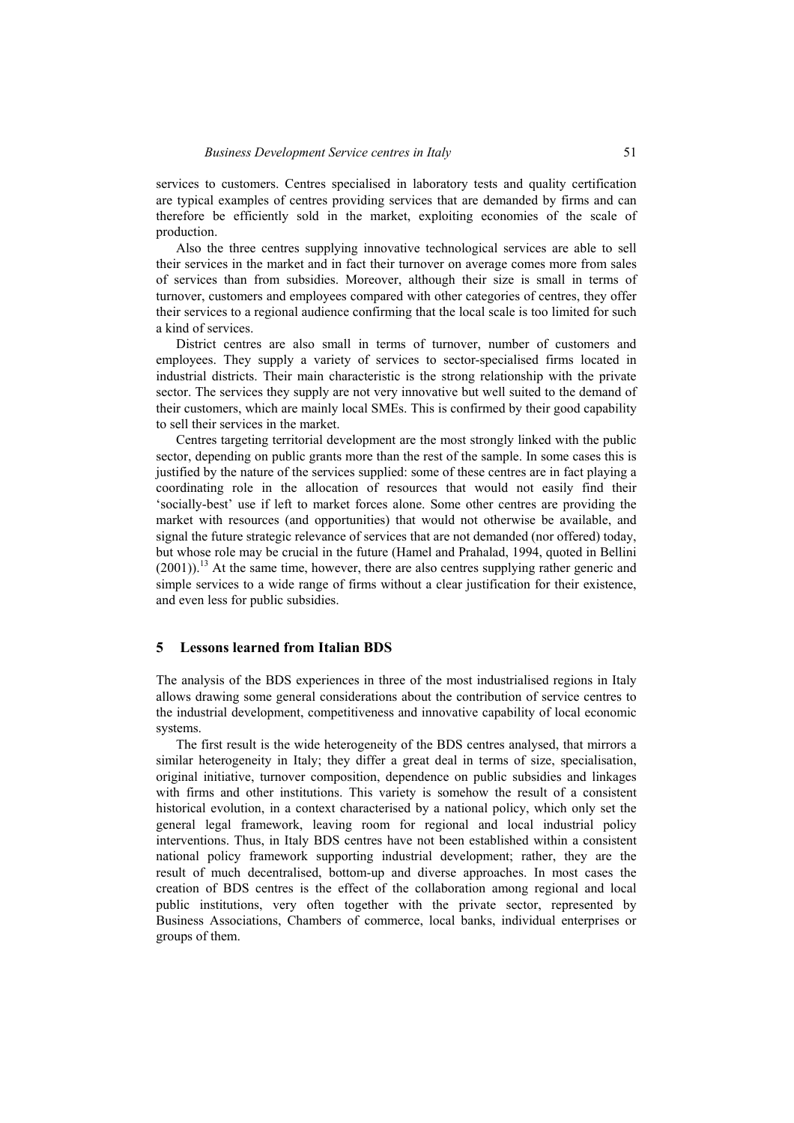services to customers. Centres specialised in laboratory tests and quality certification are typical examples of centres providing services that are demanded by firms and can therefore be efficiently sold in the market, exploiting economies of the scale of production.

Also the three centres supplying innovative technological services are able to sell their services in the market and in fact their turnover on average comes more from sales of services than from subsidies. Moreover, although their size is small in terms of turnover, customers and employees compared with other categories of centres, they offer their services to a regional audience confirming that the local scale is too limited for such a kind of services.

District centres are also small in terms of turnover, number of customers and employees. They supply a variety of services to sector-specialised firms located in industrial districts. Their main characteristic is the strong relationship with the private sector. The services they supply are not very innovative but well suited to the demand of their customers, which are mainly local SMEs. This is confirmed by their good capability to sell their services in the market.

Centres targeting territorial development are the most strongly linked with the public sector, depending on public grants more than the rest of the sample. In some cases this is justified by the nature of the services supplied: some of these centres are in fact playing a coordinating role in the allocation of resources that would not easily find their 'socially-best' use if left to market forces alone. Some other centres are providing the market with resources (and opportunities) that would not otherwise be available, and signal the future strategic relevance of services that are not demanded (nor offered) today, but whose role may be crucial in the future (Hamel and Prahalad, 1994, quoted in Bellini  $(2001)$ .<sup>13</sup> At the same time, however, there are also centres supplying rather generic and simple services to a wide range of firms without a clear justification for their existence, and even less for public subsidies.

#### **5 Lessons learned from Italian BDS**

The analysis of the BDS experiences in three of the most industrialised regions in Italy allows drawing some general considerations about the contribution of service centres to the industrial development, competitiveness and innovative capability of local economic systems.

The first result is the wide heterogeneity of the BDS centres analysed, that mirrors a similar heterogeneity in Italy; they differ a great deal in terms of size, specialisation, original initiative, turnover composition, dependence on public subsidies and linkages with firms and other institutions. This variety is somehow the result of a consistent historical evolution, in a context characterised by a national policy, which only set the general legal framework, leaving room for regional and local industrial policy interventions. Thus, in Italy BDS centres have not been established within a consistent national policy framework supporting industrial development; rather, they are the result of much decentralised, bottom-up and diverse approaches. In most cases the creation of BDS centres is the effect of the collaboration among regional and local public institutions, very often together with the private sector, represented by Business Associations, Chambers of commerce, local banks, individual enterprises or groups of them.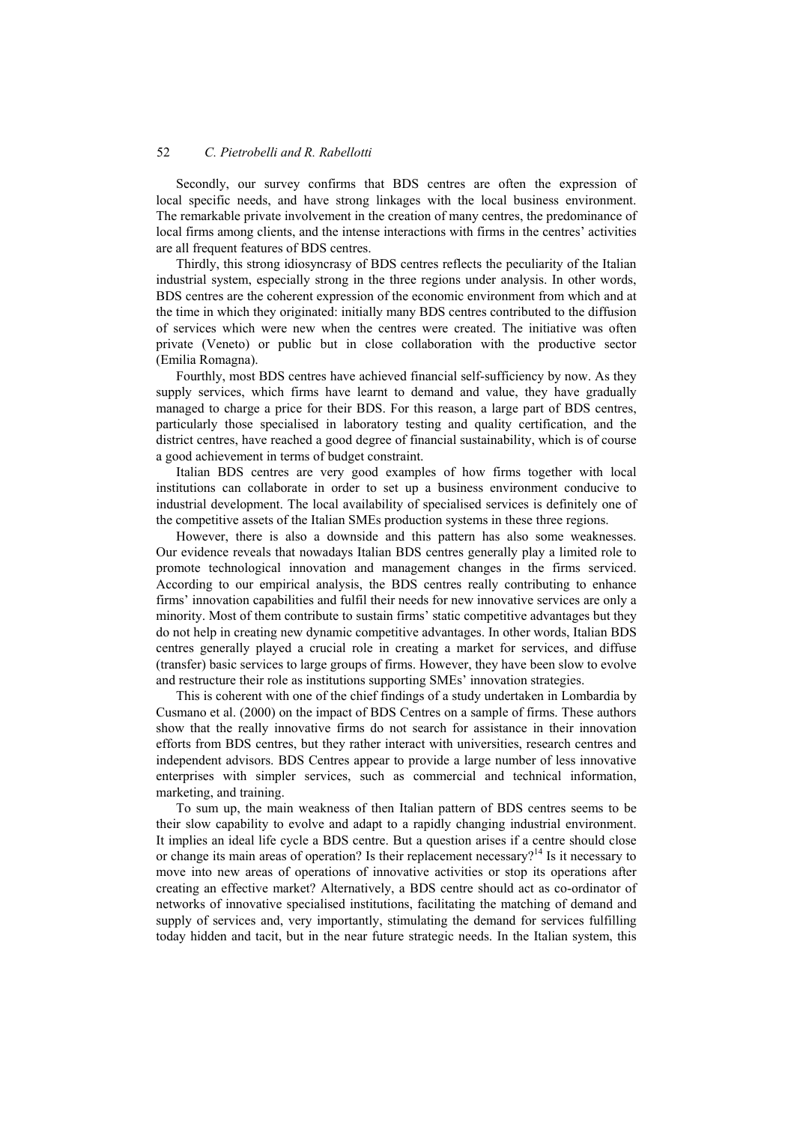Secondly, our survey confirms that BDS centres are often the expression of local specific needs, and have strong linkages with the local business environment. The remarkable private involvement in the creation of many centres, the predominance of local firms among clients, and the intense interactions with firms in the centres' activities are all frequent features of BDS centres.

Thirdly, this strong idiosyncrasy of BDS centres reflects the peculiarity of the Italian industrial system, especially strong in the three regions under analysis. In other words, BDS centres are the coherent expression of the economic environment from which and at the time in which they originated: initially many BDS centres contributed to the diffusion of services which were new when the centres were created. The initiative was often private (Veneto) or public but in close collaboration with the productive sector (Emilia Romagna).

Fourthly, most BDS centres have achieved financial self-sufficiency by now. As they supply services, which firms have learnt to demand and value, they have gradually managed to charge a price for their BDS. For this reason, a large part of BDS centres, particularly those specialised in laboratory testing and quality certification, and the district centres, have reached a good degree of financial sustainability, which is of course a good achievement in terms of budget constraint.

Italian BDS centres are very good examples of how firms together with local institutions can collaborate in order to set up a business environment conducive to industrial development. The local availability of specialised services is definitely one of the competitive assets of the Italian SMEs production systems in these three regions.

However, there is also a downside and this pattern has also some weaknesses. Our evidence reveals that nowadays Italian BDS centres generally play a limited role to promote technological innovation and management changes in the firms serviced. According to our empirical analysis, the BDS centres really contributing to enhance firms' innovation capabilities and fulfil their needs for new innovative services are only a minority. Most of them contribute to sustain firms' static competitive advantages but they do not help in creating new dynamic competitive advantages. In other words, Italian BDS centres generally played a crucial role in creating a market for services, and diffuse (transfer) basic services to large groups of firms. However, they have been slow to evolve and restructure their role as institutions supporting SMEs' innovation strategies.

This is coherent with one of the chief findings of a study undertaken in Lombardia by Cusmano et al. (2000) on the impact of BDS Centres on a sample of firms. These authors show that the really innovative firms do not search for assistance in their innovation efforts from BDS centres, but they rather interact with universities, research centres and independent advisors. BDS Centres appear to provide a large number of less innovative enterprises with simpler services, such as commercial and technical information, marketing, and training.

To sum up, the main weakness of then Italian pattern of BDS centres seems to be their slow capability to evolve and adapt to a rapidly changing industrial environment. It implies an ideal life cycle a BDS centre. But a question arises if a centre should close or change its main areas of operation? Is their replacement necessary?<sup>14</sup> Is it necessary to move into new areas of operations of innovative activities or stop its operations after creating an effective market? Alternatively, a BDS centre should act as co-ordinator of networks of innovative specialised institutions, facilitating the matching of demand and supply of services and, very importantly, stimulating the demand for services fulfilling today hidden and tacit, but in the near future strategic needs. In the Italian system, this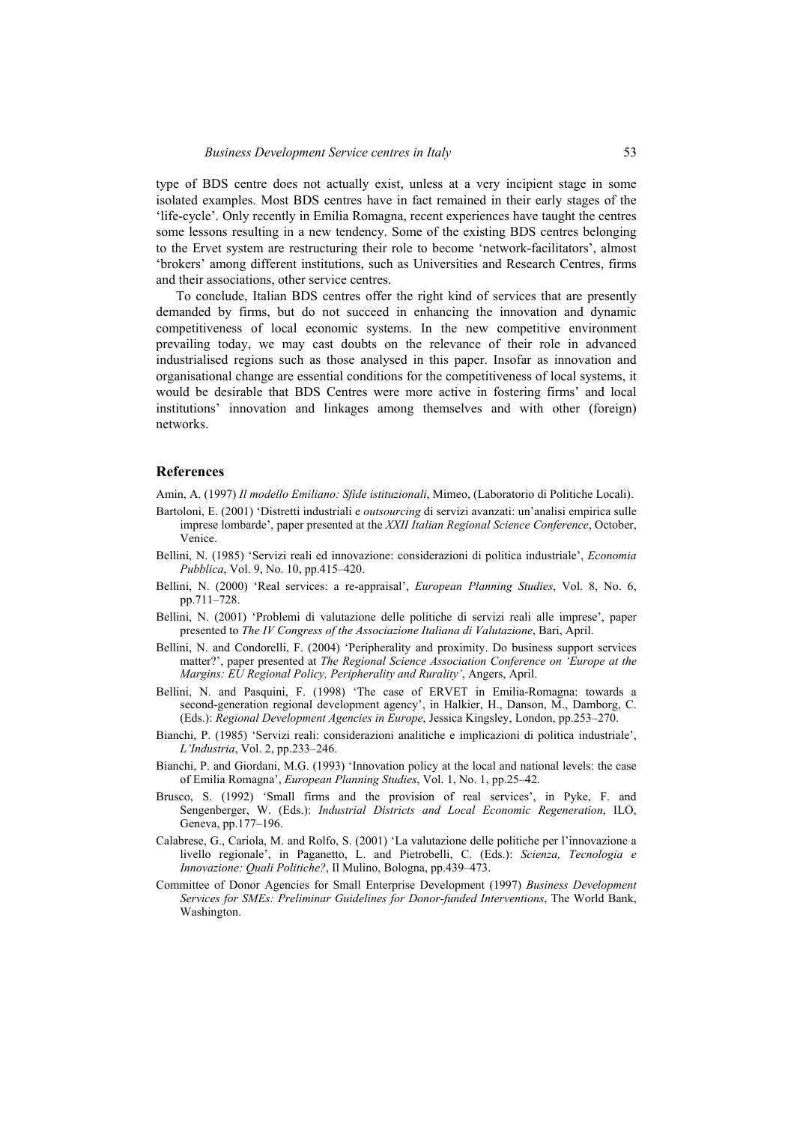type of BDS centre does not actually exist, unless at a very incipient stage in some isolated examples. Most BDS centres have in fact remained in their early stages of the 'life-cycle'. Only recently in Emilia Romagna, recent experiences have taught the centres some lessons resulting in a new tendency. Some of the existing BDS centres belonging to the Ervet system are restructuring their role to become 'network-facilitators', almost 'brokers' among different institutions, such as Universities and Research Centres, firms and their associations, other service centres.

To conclude, Italian BDS centres offer the right kind of services that are presently demanded by firms, but do not succeed in enhancing the innovation and dynamic competitiveness of local economic systems. In the new competitive environment prevailing today, we may cast doubts on the relevance of their role in advanced industrialised regions such as those analysed in this paper. Insofar as innovation and organisational change are essential conditions for the competitiveness of local systems, it would be desirable that BDS Centres were more active in fostering firms' and local institutions' innovation and linkages among themselves and with other (foreign) networks.

#### **References**

Amin, A. (1997) *Il modello Emiliano: Sfide istituzionali*, Mimeo, (Laboratorio di Politiche Locali).

- Bartoloni, E. (2001) 'Distretti industriali e *outsourcing* di servizi avanzati: un'analisi empirica sulle imprese lombarde', paper presented at the *XXII Italian Regional Science Conference*, October, Venice.
- Bellini, N. (1985) 'Servizi reali ed innovazione: considerazioni di politica industriale', *Economia Pubblica*, Vol. 9, No. 10, pp.415–420.
- Bellini, N. (2000) 'Real services: a re-appraisal', *European Planning Studies*, Vol. 8, No. 6, pp.711–728.
- Bellini, N. (2001) 'Problemi di valutazione delle politiche di servizi reali alle imprese', paper presented to *The IV Congress of the Associazione Italiana di Valutazione*, Bari, April.
- Bellini, N. and Condorelli, F. (2004) 'Peripherality and proximity. Do business support services matter?', paper presented at *The Regional Science Association Conference on 'Europe at the Margins: EU Regional Policy, Peripherality and Rurality'*, Angers, April.
- Bellini, N. and Pasquini, F. (1998) 'The case of ERVET in Emilia-Romagna: towards a second-generation regional development agency', in Halkier, H., Danson, M., Damborg, C. (Eds.): *Regional Development Agencies in Europe*, Jessica Kingsley, London, pp.253–270.
- Bianchi, P. (1985) 'Servizi reali: considerazioni analitiche e implicazioni di politica industriale', *L'Industria*, Vol. 2, pp.233–246.
- Bianchi, P. and Giordani, M.G. (1993) 'Innovation policy at the local and national levels: the case of Emilia Romagna', *European Planning Studies*, Vol. 1, No. 1, pp.25–42.
- Brusco, S. (1992) 'Small firms and the provision of real services', in Pyke, F. and Sengenberger, W. (Eds.): *Industrial Districts and Local Economic Regeneration*, ILO, Geneva, pp.177–196.
- Calabrese, G., Cariola, M. and Rolfo, S. (2001) 'La valutazione delle politiche per l'innovazione a livello regionale', in Paganetto, L. and Pietrobelli, C. (Eds.): *Scienza, Tecnologia e Innovazione: Quali Politiche?*, Il Mulino, Bologna, pp.439–473.
- Committee of Donor Agencies for Small Enterprise Development (1997) *Business Development Services for SMEs: Preliminar Guidelines for Donor-funded Interventions*, The World Bank, Washington.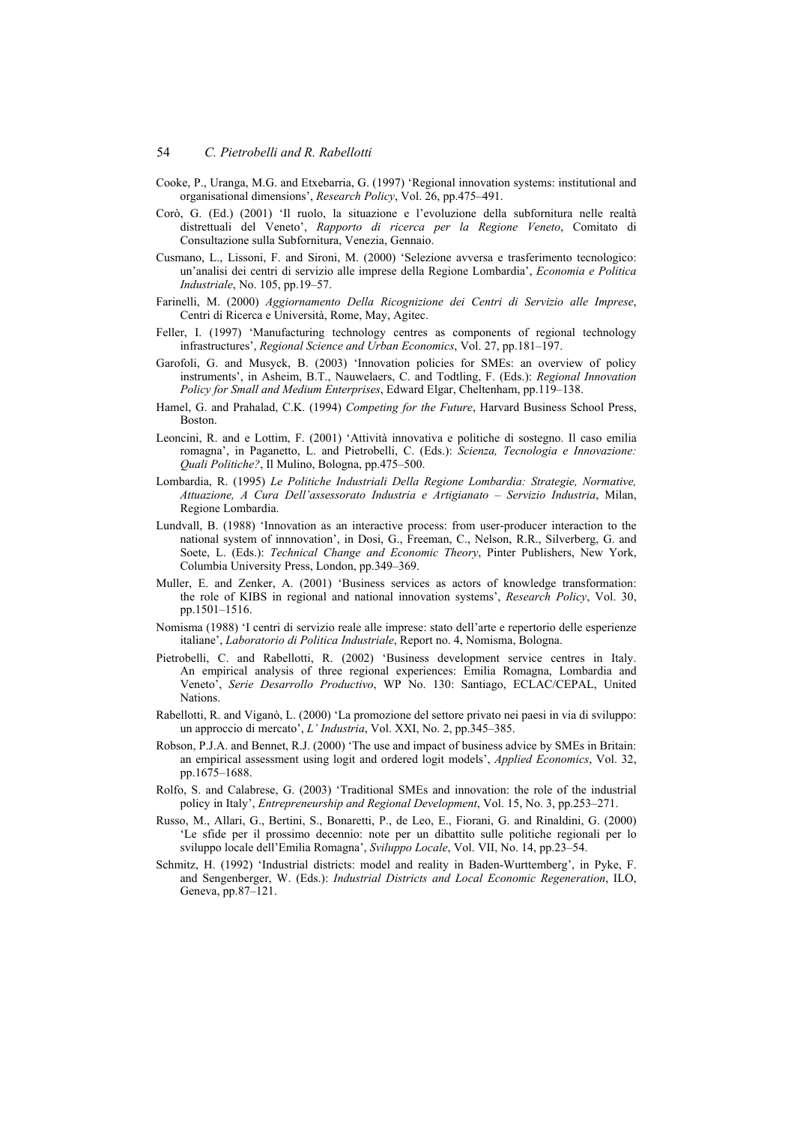- Cooke, P., Uranga, M.G. and Etxebarria, G. (1997) 'Regional innovation systems: institutional and organisational dimensions', *Research Policy*, Vol. 26, pp.475–491.
- Corò, G. (Ed.) (2001) 'Il ruolo, la situazione e l'evoluzione della subfornitura nelle realtà distrettuali del Veneto', *Rapporto di ricerca per la Regione Veneto*, Comitato di Consultazione sulla Subfornitura, Venezia, Gennaio.
- Cusmano, L., Lissoni, F. and Sironi, M. (2000) 'Selezione avversa e trasferimento tecnologico: un'analisi dei centri di servizio alle imprese della Regione Lombardia', *Economia e Politica Industriale*, No. 105, pp.19–57.
- Farinelli, M. (2000) *Aggiornamento Della Ricognizione dei Centri di Servizio alle Imprese*, Centri di Ricerca e Università, Rome, May, Agitec.
- Feller, I. (1997) 'Manufacturing technology centres as components of regional technology infrastructures', *Regional Science and Urban Economics*, Vol. 27, pp.181–197.
- Garofoli, G. and Musyck, B. (2003) 'Innovation policies for SMEs: an overview of policy instruments', in Asheim, B.T., Nauwelaers, C. and Todtling, F. (Eds.): *Regional Innovation Policy for Small and Medium Enterprises*, Edward Elgar, Cheltenham, pp.119–138.
- Hamel, G. and Prahalad, C.K. (1994) *Competing for the Future*, Harvard Business School Press, Boston.
- Leoncini, R. and e Lottim, F. (2001) 'Attività innovativa e politiche di sostegno. Il caso emilia romagna', in Paganetto, L. and Pietrobelli, C. (Eds.): *Scienza, Tecnologia e Innovazione: Quali Politiche?*, Il Mulino, Bologna, pp.475–500.
- Lombardia, R. (1995) *Le Politiche Industriali Della Regione Lombardia: Strategie, Normative, Attuazione, A Cura Dell'assessorato Industria e Artigianato – Servizio Industria*, Milan, Regione Lombardia.
- Lundvall, B. (1988) 'Innovation as an interactive process: from user-producer interaction to the national system of innnovation', in Dosi, G., Freeman, C., Nelson, R.R., Silverberg, G. and Soete, L. (Eds.): *Technical Change and Economic Theory*, Pinter Publishers, New York, Columbia University Press, London, pp.349–369.
- Muller, E. and Zenker, A. (2001) 'Business services as actors of knowledge transformation: the role of KIBS in regional and national innovation systems', *Research Policy*, Vol. 30, pp.1501–1516.
- Nomisma (1988) 'I centri di servizio reale alle imprese: stato dell'arte e repertorio delle esperienze italiane', *Laboratorio di Politica Industriale*, Report no. 4, Nomisma, Bologna.
- Pietrobelli, C. and Rabellotti, R. (2002) 'Business development service centres in Italy. An empirical analysis of three regional experiences: Emilia Romagna, Lombardia and Veneto', *Serie Desarrollo Productivo*, WP No. 130: Santiago, ECLAC/CEPAL, United Nations.
- Rabellotti, R. and Viganò, L. (2000) 'La promozione del settore privato nei paesi in via di sviluppo: un approccio di mercato', *L' Industria*, Vol. XXI, No. 2, pp.345–385.
- Robson, P.J.A. and Bennet, R.J. (2000) 'The use and impact of business advice by SMEs in Britain: an empirical assessment using logit and ordered logit models', *Applied Economics*, Vol. 32, pp.1675–1688.
- Rolfo, S. and Calabrese, G. (2003) 'Traditional SMEs and innovation: the role of the industrial policy in Italy', *Entrepreneurship and Regional Development*, Vol. 15, No. 3, pp.253–271.
- Russo, M., Allari, G., Bertini, S., Bonaretti, P., de Leo, E., Fiorani, G. and Rinaldini, G. (2000) 'Le sfide per il prossimo decennio: note per un dibattito sulle politiche regionali per lo sviluppo locale dell'Emilia Romagna', *Sviluppo Locale*, Vol. VII, No. 14, pp.23–54.
- Schmitz, H. (1992) 'Industrial districts: model and reality in Baden-Wurttemberg', in Pyke, F. and Sengenberger, W. (Eds.): *Industrial Districts and Local Economic Regeneration*, ILO, Geneva, pp.87–121.